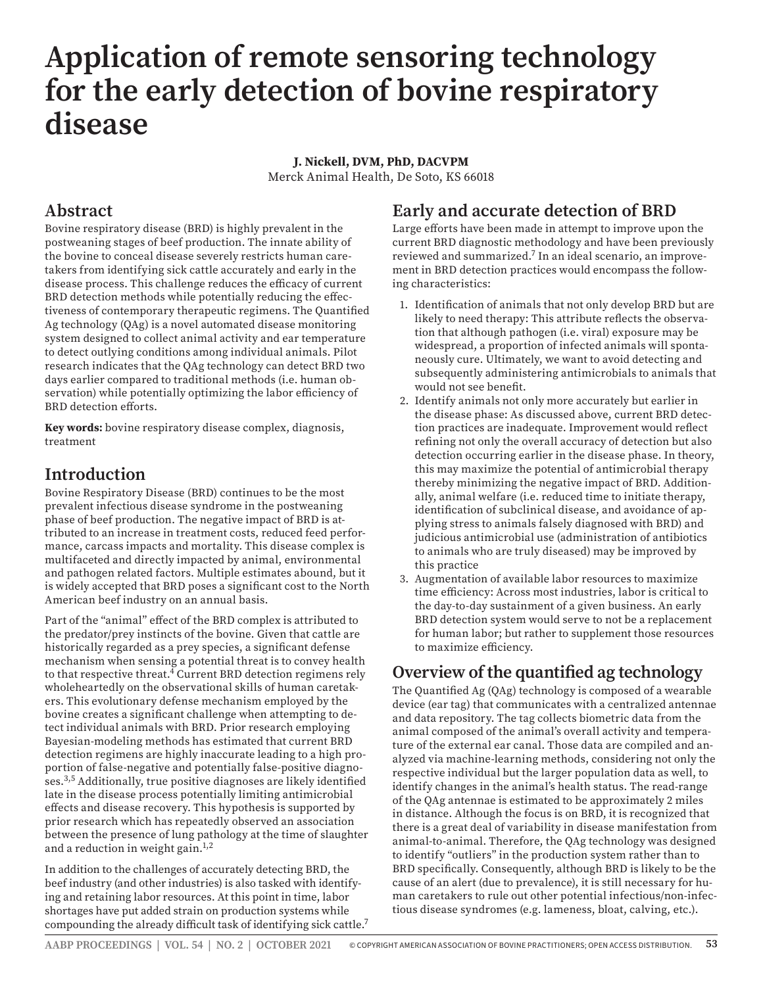# **Application of remote sensoring technology for the early detection of bovine respiratory disease**

#### **J. Nickell, DVM, PhD, DACVPM**

Merck Animal Health, De Soto, KS 66018

#### **Abstract**

Bovine respiratory disease (BRD) is highly prevalent in the postweaning stages of beef production. The innate ability of the bovine to conceal disease severely restricts human caretakers from identifying sick cattle accurately and early in the disease process. This challenge reduces the efficacy of current BRD detection methods while potentially reducing the effectiveness of contemporary therapeutic regimens. The Quantified Ag technology (QAg) is a novel automated disease monitoring system designed to collect animal activity and ear temperature to detect outlying conditions among individual animals. Pilot research indicates that the QAg technology can detect BRD two days earlier compared to traditional methods (i.e. human observation) while potentially optimizing the labor efficiency of BRD detection efforts.

**Key words:** bovine respiratory disease complex, diagnosis, treatment

### **Introduction**

Bovine Respiratory Disease (BRD) continues to be the most prevalent infectious disease syndrome in the postweaning phase of beef production. The negative impact of BRD is attributed to an increase in treatment costs, reduced feed performance, carcass impacts and mortality. This disease complex is multifaceted and directly impacted by animal, environmental and pathogen related factors. Multiple estimates abound, but it is widely accepted that BRD poses a significant cost to the North American beef industry on an annual basis.

Part of the "animal" effect of the BRD complex is attributed to the predator/prey instincts of the bovine. Given that cattle are historically regarded as a prey species, a significant defense mechanism when sensing a potential threat is to convey health to that respective threat.4 Current BRD detection regimens rely wholeheartedly on the observational skills of human caretakers. This evolutionary defense mechanism employed by the bovine creates a significant challenge when attempting to detect individual animals with BRD. Prior research employing Bayesian-modeling methods has estimated that current BRD detection regimens are highly inaccurate leading to a high proportion of false-negative and potentially false-positive diagnoses.3,5 Additionally, true positive diagnoses are likely identified late in the disease process potentially limiting antimicrobial effects and disease recovery. This hypothesis is supported by prior research which has repeatedly observed an association between the presence of lung pathology at the time of slaughter and a reduction in weight gain.<sup>1,2</sup>

In addition to the challenges of accurately detecting BRD, the beef industry (and other industries) is also tasked with identifying and retaining labor resources. At this point in time, labor shortages have put added strain on production systems while compounding the already difficult task of identifying sick cattle.7

# **Early and accurate detection of BRD**

Large efforts have been made in attempt to improve upon the current BRD diagnostic methodology and have been previously reviewed and summarized.7 In an ideal scenario, an improvement in BRD detection practices would encompass the following characteristics:

- 1. Identification of animals that not only develop BRD but are likely to need therapy: This attribute reflects the observation that although pathogen (i.e. viral) exposure may be widespread, a proportion of infected animals will spontaneously cure. Ultimately, we want to avoid detecting and subsequently administering antimicrobials to animals that would not see benefit.
- 2. Identify animals not only more accurately but earlier in the disease phase: As discussed above, current BRD detection practices are inadequate. Improvement would reflect refining not only the overall accuracy of detection but also detection occurring earlier in the disease phase. In theory, this may maximize the potential of antimicrobial therapy thereby minimizing the negative impact of BRD. Additionally, animal welfare (i.e. reduced time to initiate therapy, identification of subclinical disease, and avoidance of applying stress to animals falsely diagnosed with BRD) and judicious antimicrobial use (administration of antibiotics to animals who are truly diseased) may be improved by this practice
- 3. Augmentation of available labor resources to maximize time efficiency: Across most industries, labor is critical to the day-to-day sustainment of a given business. An early BRD detection system would serve to not be a replacement for human labor; but rather to supplement those resources to maximize efficiency.

#### **Overview of the quantified ag technology**

The Quantified Ag (QAg) technology is composed of a wearable device (ear tag) that communicates with a centralized antennae and data repository. The tag collects biometric data from the animal composed of the animal's overall activity and temperature of the external ear canal. Those data are compiled and analyzed via machine-learning methods, considering not only the respective individual but the larger population data as well, to identify changes in the animal's health status. The read-range of the QAg antennae is estimated to be approximately 2 miles in distance. Although the focus is on BRD, it is recognized that there is a great deal of variability in disease manifestation from animal-to-animal. Therefore, the QAg technology was designed to identify "outliers" in the production system rather than to BRD specifically. Consequently, although BRD is likely to be the cause of an alert (due to prevalence), it is still necessary for human caretakers to rule out other potential infectious/non-infectious disease syndromes (e.g. lameness, bloat, calving, etc.).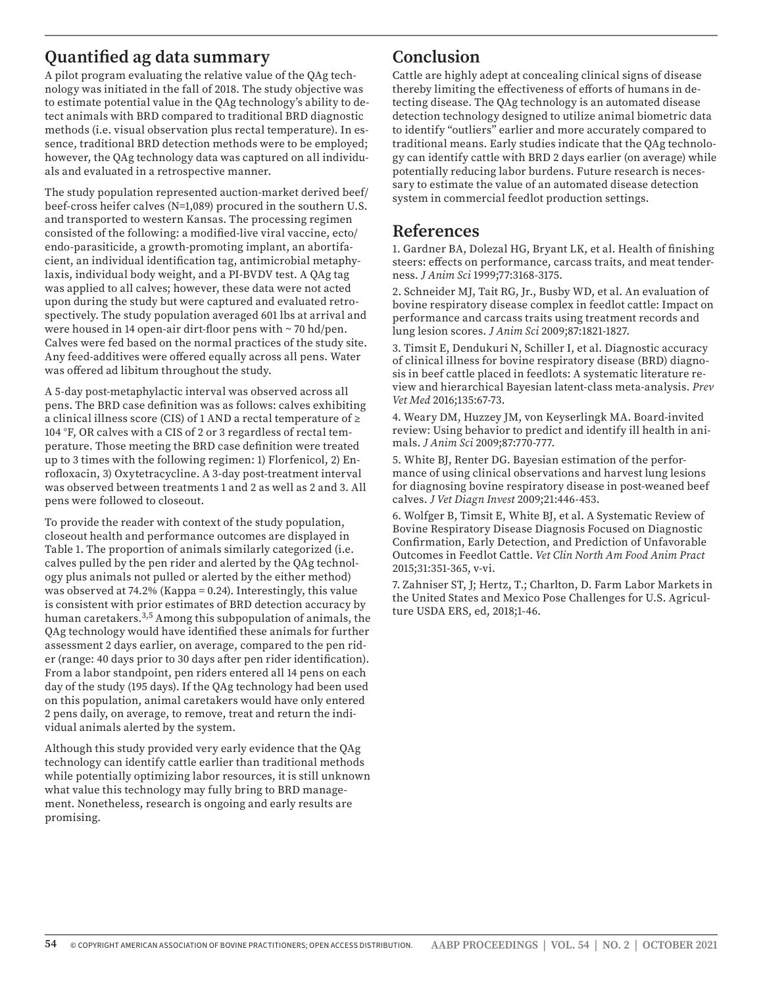# **Quantified ag data summary**

A pilot program evaluating the relative value of the QAg technology was initiated in the fall of 2018. The study objective was to estimate potential value in the QAg technology's ability to detect animals with BRD compared to traditional BRD diagnostic methods (i.e. visual observation plus rectal temperature). In essence, traditional BRD detection methods were to be employed; however, the QAg technology data was captured on all individuals and evaluated in a retrospective manner.

The study population represented auction-market derived beef/ beef-cross heifer calves (N=1,089) procured in the southern U.S. and transported to western Kansas. The processing regimen consisted of the following: a modified-live viral vaccine, ecto/ endo-parasiticide, a growth-promoting implant, an abortifacient, an individual identification tag, antimicrobial metaphylaxis, individual body weight, and a PI-BVDV test. A QAg tag was applied to all calves; however, these data were not acted upon during the study but were captured and evaluated retrospectively. The study population averaged 601 lbs at arrival and were housed in 14 open-air dirt-floor pens with ~ 70 hd/pen. Calves were fed based on the normal practices of the study site. Any feed-additives were offered equally across all pens. Water was offered ad libitum throughout the study.

A 5-day post-metaphylactic interval was observed across all pens. The BRD case definition was as follows: calves exhibiting a clinical illness score (CIS) of 1 AND a rectal temperature of ≥ 104 °F, OR calves with a CIS of 2 or 3 regardless of rectal temperature. Those meeting the BRD case definition were treated up to 3 times with the following regimen: 1) Florfenicol, 2) Enrofloxacin, 3) Oxytetracycline. A 3-day post-treatment interval was observed between treatments 1 and 2 as well as 2 and 3. All pens were followed to closeout.

To provide the reader with context of the study population, closeout health and performance outcomes are displayed in Table 1. The proportion of animals similarly categorized (i.e. calves pulled by the pen rider and alerted by the QAg technology plus animals not pulled or alerted by the either method) was observed at 74.2% (Kappa = 0.24). Interestingly, this value is consistent with prior estimates of BRD detection accuracy by human caretakers.3,5 Among this subpopulation of animals, the QAg technology would have identified these animals for further assessment 2 days earlier, on average, compared to the pen rider (range: 40 days prior to 30 days after pen rider identification). From a labor standpoint, pen riders entered all 14 pens on each day of the study (195 days). If the QAg technology had been used on this population, animal caretakers would have only entered 2 pens daily, on average, to remove, treat and return the individual animals alerted by the system.

Although this study provided very early evidence that the QAg technology can identify cattle earlier than traditional methods while potentially optimizing labor resources, it is still unknown what value this technology may fully bring to BRD management. Nonetheless, research is ongoing and early results are promising.

# **Conclusion**

Cattle are highly adept at concealing clinical signs of disease thereby limiting the effectiveness of efforts of humans in detecting disease. The QAg technology is an automated disease detection technology designed to utilize animal biometric data to identify "outliers" earlier and more accurately compared to traditional means. Early studies indicate that the QAg technology can identify cattle with BRD 2 days earlier (on average) while potentially reducing labor burdens. Future research is necessary to estimate the value of an automated disease detection system in commercial feedlot production settings.

#### **References**

1. Gardner BA, Dolezal HG, Bryant LK, et al. Health of finishing steers: effects on performance, carcass traits, and meat tenderness. *J Anim Sci* 1999;77:3168-3175.

2. Schneider MJ, Tait RG, Jr., Busby WD, et al. An evaluation of bovine respiratory disease complex in feedlot cattle: Impact on performance and carcass traits using treatment records and lung lesion scores. *J Anim Sci* 2009;87:1821-1827.

3. Timsit E, Dendukuri N, Schiller I, et al. Diagnostic accuracy of clinical illness for bovine respiratory disease (BRD) diagnosis in beef cattle placed in feedlots: A systematic literature review and hierarchical Bayesian latent-class meta-analysis. *Prev Vet Med* 2016;135:67-73.

4. Weary DM, Huzzey JM, von Keyserlingk MA. Board-invited review: Using behavior to predict and identify ill health in animals. *J Anim Sci* 2009;87:770-777.

5. White BJ, Renter DG. Bayesian estimation of the performance of using clinical observations and harvest lung lesions for diagnosing bovine respiratory disease in post-weaned beef calves. *J Vet Diagn Invest* 2009;21:446-453.

6. Wolfger B, Timsit E, White BJ, et al. A Systematic Review of Bovine Respiratory Disease Diagnosis Focused on Diagnostic Confirmation, Early Detection, and Prediction of Unfavorable Outcomes in Feedlot Cattle. *Vet Clin North Am Food Anim Pract*  2015;31:351-365, v-vi.

7. Zahniser ST, J; Hertz, T.; Charlton, D. Farm Labor Markets in the United States and Mexico Pose Challenges for U.S. Agriculture USDA ERS, ed, 2018;1-46.